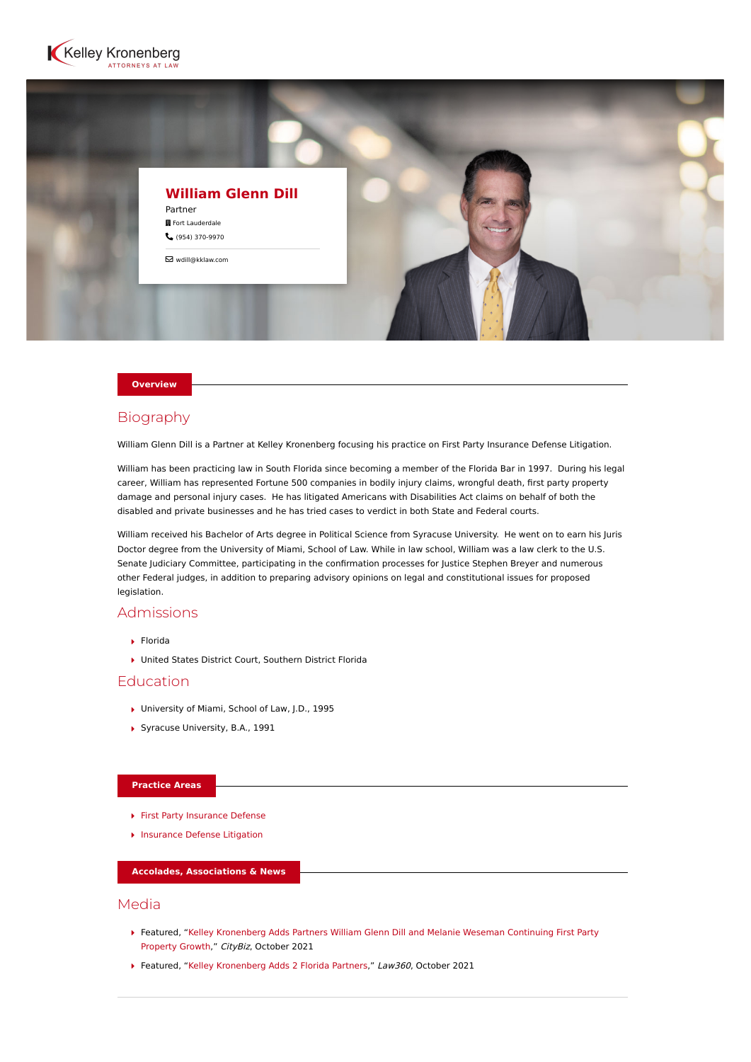



### **Overview**

## Biography

William Glenn Dill is a Partner at Kelley Kronenberg focusing his practice on First Party Insurance Defense Litigation.

William has been practicing law in South Florida since becoming a member of the Florida Bar in 1997. During his legal career, William has represented Fortune 500 companies in bodily injury claims, wrongful death, first party property damage and personal injury cases. He has litigated Americans with Disabilities Act claims on behalf of both the disabled and private businesses and he has tried cases to verdict in both State and Federal courts.

William received his Bachelor of Arts degree in Political Science from Syracuse University. He went on to earn his Juris Doctor degree from the University of Miami, School of Law. While in law school, William was a law clerk to the U.S. Senate Judiciary Committee, participating in the confirmation processes for Justice Stephen Breyer and numerous other Federal judges, in addition to preparing advisory opinions on legal and constitutional issues for proposed legislation.

# Admissions

- Florida
- United States District Court, Southern District Florida

# Education

- ▶ University of Miami, School of Law, J.D., 1995
- Syracuse University, B.A., 1991

#### **Practice Areas**

- [First Party Insurance Defense](https://www.kelleykronenberg.com/our-practices/first-party-insurance-defense-coverage-bad-faith/)
- **[Insurance Defense Litigation](https://www.kelleykronenberg.com/our-practices/insurance/)**

### **Accolades, Associations & News**

# Media

- [Featured, "Kelley Kronenberg Adds Partners William Glenn Dill and Melanie Weseman Continuing First Party](https://www.citybiz.co/article/151822/kelley-kronenberg-adds-partners-william-glenn-dill-and-melanie-weseman-continuing-first-party-property-growth/) Property Growth," CityBiz, October 2021
- ▶ Featured, ["Kelley Kronenberg Adds 2 Florida Partners](https://www.law360.com/insurance/articles/1427463/kelley-kronenberg-adds-2-florida-partners)," Law360, October 2021